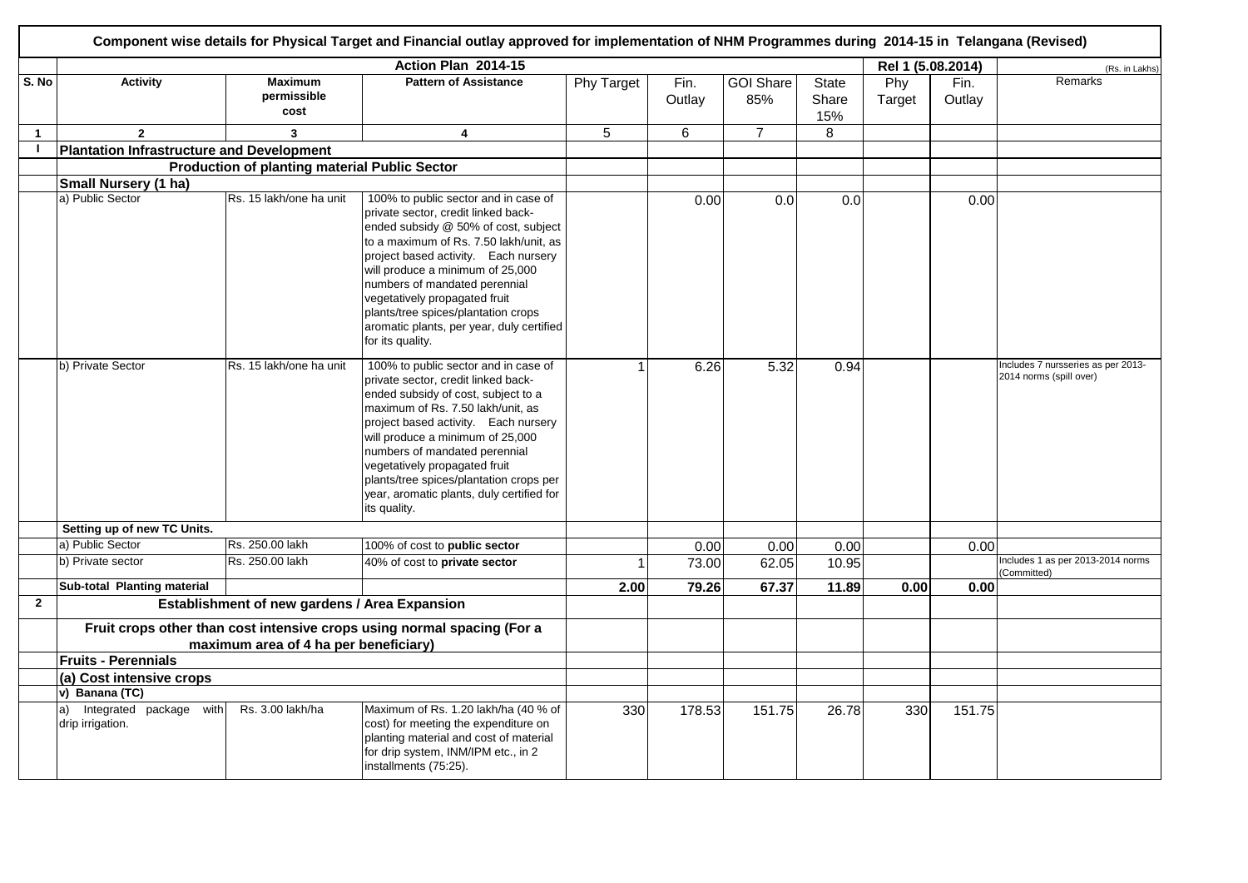|              | Component wise details for Physical Target and Financial outlay approved for implementation of NHM Programmes during 2014-15 in Telangana (Revised) |                                                      |                                                                                                                                                                                                                                                                                                                                                                                                                     |                   |                |                         |                       |               |                   |                                                               |  |  |  |
|--------------|-----------------------------------------------------------------------------------------------------------------------------------------------------|------------------------------------------------------|---------------------------------------------------------------------------------------------------------------------------------------------------------------------------------------------------------------------------------------------------------------------------------------------------------------------------------------------------------------------------------------------------------------------|-------------------|----------------|-------------------------|-----------------------|---------------|-------------------|---------------------------------------------------------------|--|--|--|
|              |                                                                                                                                                     |                                                      | Action Plan 2014-15                                                                                                                                                                                                                                                                                                                                                                                                 |                   |                |                         |                       |               | Rel 1 (5.08.2014) | (Rs. in Lakhs)                                                |  |  |  |
| S. No        | <b>Activity</b>                                                                                                                                     | <b>Maximum</b><br>permissible<br>cost                | <b>Pattern of Assistance</b>                                                                                                                                                                                                                                                                                                                                                                                        | <b>Phy Target</b> | Fin.<br>Outlay | <b>GOI Share</b><br>85% | State<br>Share<br>15% | Phy<br>Target | Fin.<br>Outlay    | Remarks                                                       |  |  |  |
| $\mathbf{1}$ | $\overline{2}$                                                                                                                                      | 3                                                    | 4                                                                                                                                                                                                                                                                                                                                                                                                                   | 5                 | 6              | $\overline{7}$          | 8                     |               |                   |                                                               |  |  |  |
| $\mathbf{I}$ | <b>Plantation Infrastructure and Development</b>                                                                                                    |                                                      |                                                                                                                                                                                                                                                                                                                                                                                                                     |                   |                |                         |                       |               |                   |                                                               |  |  |  |
|              |                                                                                                                                                     | <b>Production of planting material Public Sector</b> |                                                                                                                                                                                                                                                                                                                                                                                                                     |                   |                |                         |                       |               |                   |                                                               |  |  |  |
|              | Small Nursery (1 ha)                                                                                                                                |                                                      |                                                                                                                                                                                                                                                                                                                                                                                                                     |                   |                |                         |                       |               |                   |                                                               |  |  |  |
|              | a) Public Sector                                                                                                                                    | Rs. 15 lakh/one ha unit                              | 100% to public sector and in case of<br>private sector, credit linked back-<br>ended subsidy @ 50% of cost, subject<br>to a maximum of Rs. 7.50 lakh/unit, as<br>project based activity. Each nursery<br>will produce a minimum of 25,000<br>numbers of mandated perennial<br>vegetatively propagated fruit<br>plants/tree spices/plantation crops<br>aromatic plants, per year, duly certified<br>for its quality. |                   | 0.00           | 0.0                     | 0.0                   |               | 0.00              |                                                               |  |  |  |
|              | b) Private Sector                                                                                                                                   | Rs. 15 lakh/one ha unit                              | 100% to public sector and in case of<br>private sector, credit linked back-<br>ended subsidy of cost, subject to a<br>maximum of Rs. 7.50 lakh/unit, as<br>project based activity. Each nursery<br>will produce a minimum of 25,000<br>numbers of mandated perennial<br>vegetatively propagated fruit<br>plants/tree spices/plantation crops per<br>year, aromatic plants, duly certified for<br>its quality.       |                   | 6.26           | 5.32                    | 0.94                  |               |                   | Includes 7 nursseries as per 2013-<br>2014 norms (spill over) |  |  |  |
|              | Setting up of new TC Units.                                                                                                                         |                                                      |                                                                                                                                                                                                                                                                                                                                                                                                                     |                   |                |                         |                       |               |                   |                                                               |  |  |  |
|              | a) Public Sector                                                                                                                                    | Rs. 250.00 lakh                                      | 100% of cost to public sector                                                                                                                                                                                                                                                                                                                                                                                       |                   | 0.00           | 0.00                    | 0.00                  |               | 0.00              |                                                               |  |  |  |
|              | b) Private sector                                                                                                                                   | Rs. 250.00 lakh                                      | 40% of cost to private sector                                                                                                                                                                                                                                                                                                                                                                                       |                   | 73.00          | 62.05                   | 10.95                 |               |                   | Includes 1 as per 2013-2014 norms<br>(Committed)              |  |  |  |
|              | Sub-total Planting material                                                                                                                         |                                                      |                                                                                                                                                                                                                                                                                                                                                                                                                     | 2.00              | 79.26          | 67.37                   | 11.89                 | 0.00          | 0.00              |                                                               |  |  |  |
| $\mathbf{2}$ |                                                                                                                                                     | Establishment of new gardens / Area Expansion        |                                                                                                                                                                                                                                                                                                                                                                                                                     |                   |                |                         |                       |               |                   |                                                               |  |  |  |
|              |                                                                                                                                                     | maximum area of 4 ha per beneficiary)                | Fruit crops other than cost intensive crops using normal spacing (For a                                                                                                                                                                                                                                                                                                                                             |                   |                |                         |                       |               |                   |                                                               |  |  |  |
|              | <b>Fruits - Perennials</b>                                                                                                                          |                                                      |                                                                                                                                                                                                                                                                                                                                                                                                                     |                   |                |                         |                       |               |                   |                                                               |  |  |  |
|              | (a) Cost intensive crops                                                                                                                            |                                                      |                                                                                                                                                                                                                                                                                                                                                                                                                     |                   |                |                         |                       |               |                   |                                                               |  |  |  |
|              | v) Banana (TC)                                                                                                                                      |                                                      |                                                                                                                                                                                                                                                                                                                                                                                                                     |                   |                |                         |                       |               |                   |                                                               |  |  |  |
|              | Integrated package with<br>a)<br>drip irrigation.                                                                                                   | Rs. 3.00 lakh/ha                                     | Maximum of Rs. 1.20 lakh/ha (40 % of<br>cost) for meeting the expenditure on<br>planting material and cost of material<br>for drip system, INM/IPM etc., in 2<br>installments (75:25).                                                                                                                                                                                                                              | 330               | 178.53         | 151.75                  | 26.78                 | 330           | 151.75            |                                                               |  |  |  |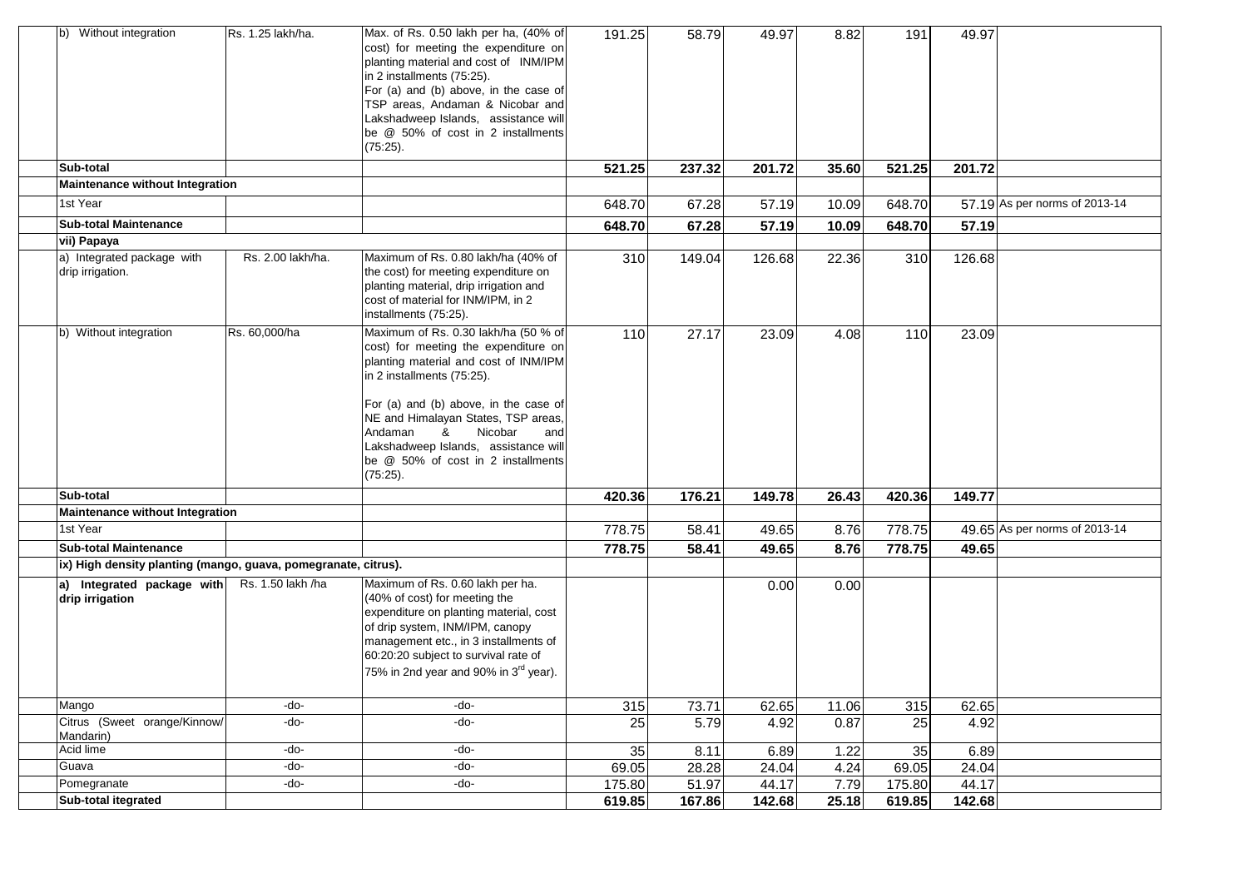| b) Without integration                                         | IRs. 1.25 lakh/ha. | Max. of Rs. 0.50 lakh per ha, (40% of<br>cost) for meeting the expenditure on<br>planting material and cost of INM/IPM<br>in 2 installments (75:25).<br>For (a) and (b) above, in the case of<br>TSP areas, Andaman & Nicobar and<br>Lakshadweep Islands, assistance will<br>be @ 50% of cost in 2 installments<br>$(75:25)$ .                                     | 191.25 | 58.79  | 49.97  | 8.82  | 191    | 49.97  |                               |
|----------------------------------------------------------------|--------------------|--------------------------------------------------------------------------------------------------------------------------------------------------------------------------------------------------------------------------------------------------------------------------------------------------------------------------------------------------------------------|--------|--------|--------|-------|--------|--------|-------------------------------|
| Sub-total                                                      |                    |                                                                                                                                                                                                                                                                                                                                                                    | 521.25 | 237.32 | 201.72 | 35.60 | 521.25 | 201.72 |                               |
| Maintenance without Integration                                |                    |                                                                                                                                                                                                                                                                                                                                                                    |        |        |        |       |        |        |                               |
| 1st Year                                                       |                    |                                                                                                                                                                                                                                                                                                                                                                    | 648.70 | 67.28  | 57.19  | 10.09 | 648.70 |        | 57.19 As per norms of 2013-14 |
| <b>Sub-total Maintenance</b>                                   |                    |                                                                                                                                                                                                                                                                                                                                                                    | 648.70 | 67.28  | 57.19  | 10.09 | 648.70 | 57.19  |                               |
| vii) Papaya                                                    |                    |                                                                                                                                                                                                                                                                                                                                                                    |        |        |        |       |        |        |                               |
| a) Integrated package with<br>drip irrigation.                 | Rs. 2.00 lakh/ha.  | Maximum of Rs. 0.80 lakh/ha (40% of<br>the cost) for meeting expenditure on<br>planting material, drip irrigation and<br>cost of material for INM/IPM, in 2<br>installments (75:25).                                                                                                                                                                               | 310    | 149.04 | 126.68 | 22.36 | 310    | 126.68 |                               |
| b) Without integration                                         | Rs. 60,000/ha      | Maximum of Rs. 0.30 lakh/ha (50 % of<br>cost) for meeting the expenditure on<br>planting material and cost of INM/IPM<br>in 2 installments (75:25).<br>For (a) and (b) above, in the case of<br>NE and Himalayan States, TSP areas,<br>Nicobar<br>Andaman<br>&<br>and<br>Lakshadweep Islands, assistance will<br>be @ 50% of cost in 2 installments<br>$(75:25)$ . | 110    | 27.17  | 23.09  | 4.08  | 110    | 23.09  |                               |
| Sub-total                                                      |                    |                                                                                                                                                                                                                                                                                                                                                                    | 420.36 | 176.21 | 149.78 | 26.43 | 420.36 | 149.77 |                               |
| Maintenance without Integration                                |                    |                                                                                                                                                                                                                                                                                                                                                                    |        |        |        |       |        |        |                               |
| 1st Year                                                       |                    |                                                                                                                                                                                                                                                                                                                                                                    | 778.75 | 58.41  | 49.65  | 8.76  | 778.75 |        | 49.65 As per norms of 2013-14 |
| <b>Sub-total Maintenance</b>                                   |                    |                                                                                                                                                                                                                                                                                                                                                                    | 778.75 | 58.41  | 49.65  | 8.76  | 778.75 | 49.65  |                               |
| ix) High density planting (mango, guava, pomegranate, citrus). |                    |                                                                                                                                                                                                                                                                                                                                                                    |        |        |        |       |        |        |                               |
| a) Integrated package with<br>drip irrigation                  | Rs. 1.50 lakh /ha  | Maximum of Rs. 0.60 lakh per ha.<br>(40% of cost) for meeting the<br>expenditure on planting material, cost<br>of drip system, INM/IPM, canopy<br>management etc., in 3 installments of<br>60:20:20 subject to survival rate of<br>75% in 2nd year and 90% in 3rd year).                                                                                           |        |        | 0.00   | 0.00  |        |        |                               |
| Mango                                                          | -do-               | -do-                                                                                                                                                                                                                                                                                                                                                               | 315    | 73.71  | 62.65  | 11.06 | 315    | 62.65  |                               |
| Citrus (Sweet orange/Kinnow/<br>Mandarin)                      | -do-               | -do-                                                                                                                                                                                                                                                                                                                                                               | 25     | 5.79   | 4.92   | 0.87  | 25     | 4.92   |                               |
| Acid lime                                                      | -do-               | -do-                                                                                                                                                                                                                                                                                                                                                               | 35     | 8.11   | 6.89   | 1.22  | 35     | 6.89   |                               |
| Guava                                                          | -do-               | -do-                                                                                                                                                                                                                                                                                                                                                               | 69.05  | 28.28  | 24.04  | 4.24  | 69.05  | 24.04  |                               |
| Pomegranate                                                    | $-do-$             | -do-                                                                                                                                                                                                                                                                                                                                                               | 175.80 | 51.97  | 44.17  | 7.79  | 175.80 | 44.17  |                               |
| Sub-total itegrated                                            |                    |                                                                                                                                                                                                                                                                                                                                                                    | 619.85 | 167.86 | 142.68 | 25.18 | 619.85 | 142.68 |                               |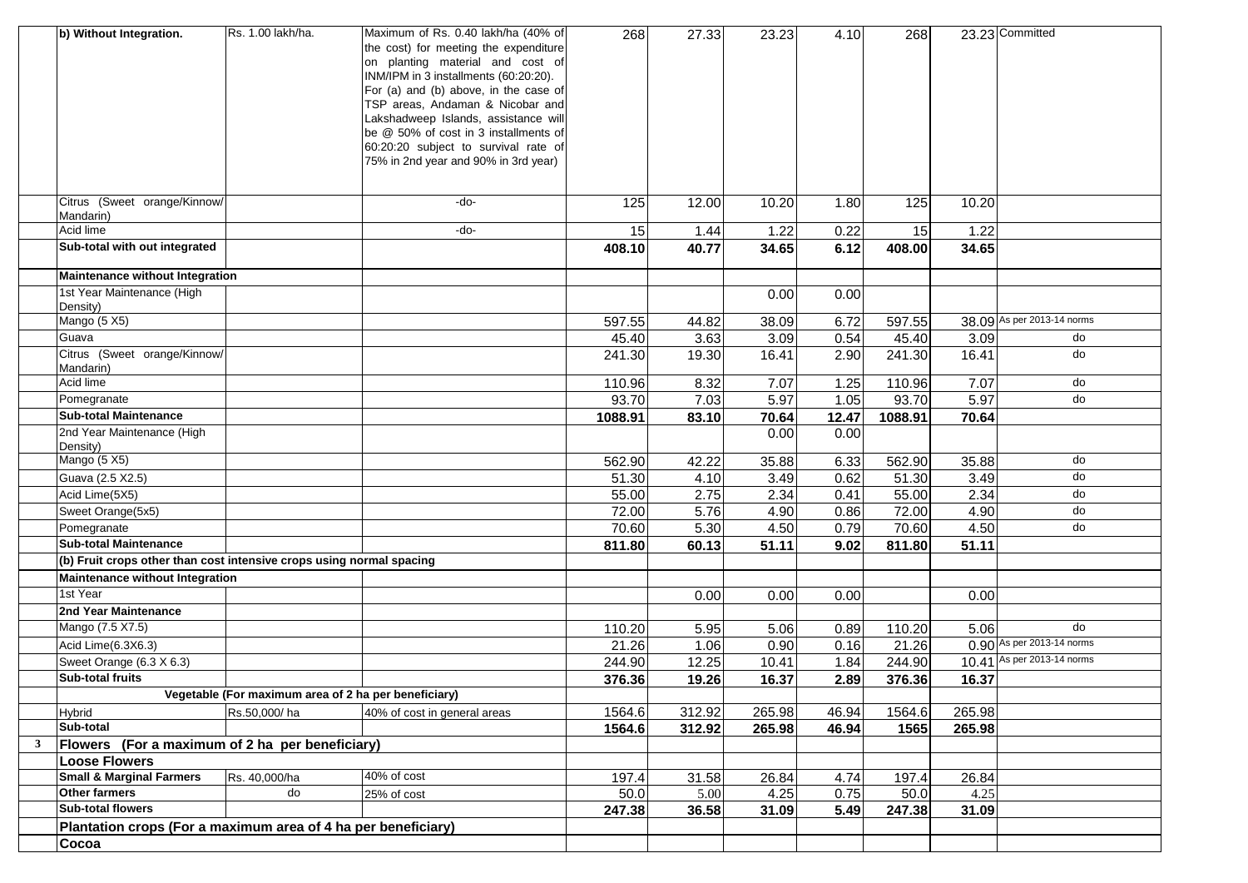|   | b) Without Integration.                                              | Rs. 1.00 lakh/ha.                                    | Maximum of Rs. 0.40 lakh/ha (40% of                                       | 268     | 27.33  | 23.23  | 4.10  | 268     |        | 23.23 Committed            |
|---|----------------------------------------------------------------------|------------------------------------------------------|---------------------------------------------------------------------------|---------|--------|--------|-------|---------|--------|----------------------------|
|   |                                                                      |                                                      | the cost) for meeting the expenditure<br>on planting material and cost of |         |        |        |       |         |        |                            |
|   |                                                                      |                                                      | INM/IPM in 3 installments (60:20:20).                                     |         |        |        |       |         |        |                            |
|   |                                                                      |                                                      | For (a) and (b) above, in the case of                                     |         |        |        |       |         |        |                            |
|   |                                                                      |                                                      | TSP areas, Andaman & Nicobar and                                          |         |        |        |       |         |        |                            |
|   |                                                                      |                                                      | Lakshadweep Islands, assistance will                                      |         |        |        |       |         |        |                            |
|   |                                                                      |                                                      | be @ 50% of cost in 3 installments of                                     |         |        |        |       |         |        |                            |
|   |                                                                      |                                                      | 60:20:20 subject to survival rate of                                      |         |        |        |       |         |        |                            |
|   |                                                                      |                                                      | 75% in 2nd year and 90% in 3rd year)                                      |         |        |        |       |         |        |                            |
|   |                                                                      |                                                      |                                                                           |         |        |        |       |         |        |                            |
|   | Citrus (Sweet orange/Kinnow/                                         |                                                      | -do-                                                                      | 125     | 12.00  | 10.20  | 1.80  | 125     | 10.20  |                            |
|   | Mandarin)                                                            |                                                      |                                                                           |         |        |        |       |         |        |                            |
|   | <b>Acid lime</b>                                                     |                                                      | -do-                                                                      | 15      | 1.44   | 1.22   | 0.22  | 15      | 1.22   |                            |
|   | Sub-total with out integrated                                        |                                                      |                                                                           | 408.10  | 40.77  | 34.65  | 6.12  | 408.00  | 34.65  |                            |
|   | Maintenance without Integration                                      |                                                      |                                                                           |         |        |        |       |         |        |                            |
|   | 1st Year Maintenance (High                                           |                                                      |                                                                           |         |        | 0.00   | 0.00  |         |        |                            |
|   | Density)                                                             |                                                      |                                                                           |         |        |        |       |         |        |                            |
|   | Mango (5 X5)                                                         |                                                      |                                                                           | 597.55  | 44.82  | 38.09  | 6.72  | 597.55  |        | 38.09 As per 2013-14 norms |
|   | Guava                                                                |                                                      |                                                                           | 45.40   | 3.63   | 3.09   | 0.54  | 45.40   | 3.09   | do                         |
|   | Citrus (Sweet orange/Kinnow/                                         |                                                      |                                                                           | 241.30  | 19.30  | 16.41  | 2.90  | 241.30  | 16.41  | do                         |
|   | Mandarin)<br>Acid lime                                               |                                                      |                                                                           |         |        |        |       |         |        |                            |
|   |                                                                      |                                                      |                                                                           | 110.96  | 8.32   | 7.07   | 1.25  | 110.96  | 7.07   | do<br>do                   |
|   | Pomegranate                                                          |                                                      |                                                                           | 93.70   | 7.03   | 5.97   | 1.05  | 93.70   | 5.97   |                            |
|   | <b>Sub-total Maintenance</b><br>2nd Year Maintenance (High           |                                                      |                                                                           | 1088.91 | 83.10  | 70.64  | 12.47 | 1088.91 | 70.64  |                            |
|   | Density)                                                             |                                                      |                                                                           |         |        | 0.00   | 0.00  |         |        |                            |
|   | Mango (5 X5)                                                         |                                                      |                                                                           | 562.90  | 42.22  | 35.88  | 6.33  | 562.90  | 35.88  | do                         |
|   | Guava (2.5 X2.5)                                                     |                                                      |                                                                           | 51.30   | 4.10   | 3.49   | 0.62  | 51.30   | 3.49   | do                         |
|   | Acid Lime(5X5)                                                       |                                                      |                                                                           | 55.00   | 2.75   | 2.34   | 0.41  | 55.00   | 2.34   | do                         |
|   | Sweet Orange(5x5)                                                    |                                                      |                                                                           | 72.00   | 5.76   | 4.90   | 0.86  | 72.00   | 4.90   | do                         |
|   | Pomegranate                                                          |                                                      |                                                                           | 70.60   | 5.30   | 4.50   | 0.79  | 70.60   | 4.50   | do                         |
|   | <b>Sub-total Maintenance</b>                                         |                                                      |                                                                           | 811.80  | 60.13  | 51.11  | 9.02  | 811.80  | 51.11  |                            |
|   | (b) Fruit crops other than cost intensive crops using normal spacing |                                                      |                                                                           |         |        |        |       |         |        |                            |
|   | <b>Maintenance without Integration</b>                               |                                                      |                                                                           |         |        |        |       |         |        |                            |
|   | 1st Year                                                             |                                                      |                                                                           |         | 0.00   | 0.00   | 0.00  |         | 0.00   |                            |
|   | 2nd Year Maintenance                                                 |                                                      |                                                                           |         |        |        |       |         |        |                            |
|   | Mango (7.5 X7.5)                                                     |                                                      |                                                                           | 110.20  | 5.95   | 5.06   | 0.89  | 110.20  | 5.06   | do                         |
|   | Acid Lime(6.3X6.3)                                                   |                                                      |                                                                           | 21.26   | 1.06   | 0.90   | 0.16  | 21.26   |        | 0.90 As per 2013-14 norms  |
|   | Sweet Orange (6.3 X 6.3)                                             |                                                      |                                                                           | 244.90  | 12.25  | 10.41  | 1.84  | 244.90  |        | 10.41 As per 2013-14 norms |
|   | <b>Sub-total fruits</b>                                              |                                                      |                                                                           | 376.36  | 19.26  | 16.37  | 2.89  | 376.36  | 16.37  |                            |
|   |                                                                      | Vegetable (For maximum area of 2 ha per beneficiary) |                                                                           |         |        |        |       |         |        |                            |
|   | Hybrid                                                               | Rs.50,000/ha                                         | 40% of cost in general areas                                              | 1564.6  | 312.92 | 265.98 | 46.94 | 1564.6  | 265.98 |                            |
|   | Sub-total                                                            |                                                      |                                                                           | 1564.6  | 312.92 | 265.98 | 46.94 | 1565    | 265.98 |                            |
| 3 | Flowers (For a maximum of 2 ha per beneficiary)                      |                                                      |                                                                           |         |        |        |       |         |        |                            |
|   | <b>Loose Flowers</b>                                                 |                                                      |                                                                           |         |        |        |       |         |        |                            |
|   | <b>Small &amp; Marginal Farmers</b>                                  | Rs. 40,000/ha                                        | 40% of cost                                                               | 197.4   | 31.58  | 26.84  | 4.74  | 197.4   | 26.84  |                            |
|   | Other farmers                                                        | do                                                   | 25% of cost                                                               | 50.0    | 5.00   | 4.25   | 0.75  | 50.0    | 4.25   |                            |
|   | <b>Sub-total flowers</b>                                             |                                                      |                                                                           | 247.38  | 36.58  | 31.09  | 5.49  | 247.38  | 31.09  |                            |
|   | Plantation crops (For a maximum area of 4 ha per beneficiary)        |                                                      |                                                                           |         |        |        |       |         |        |                            |
|   | Cocoa                                                                |                                                      |                                                                           |         |        |        |       |         |        |                            |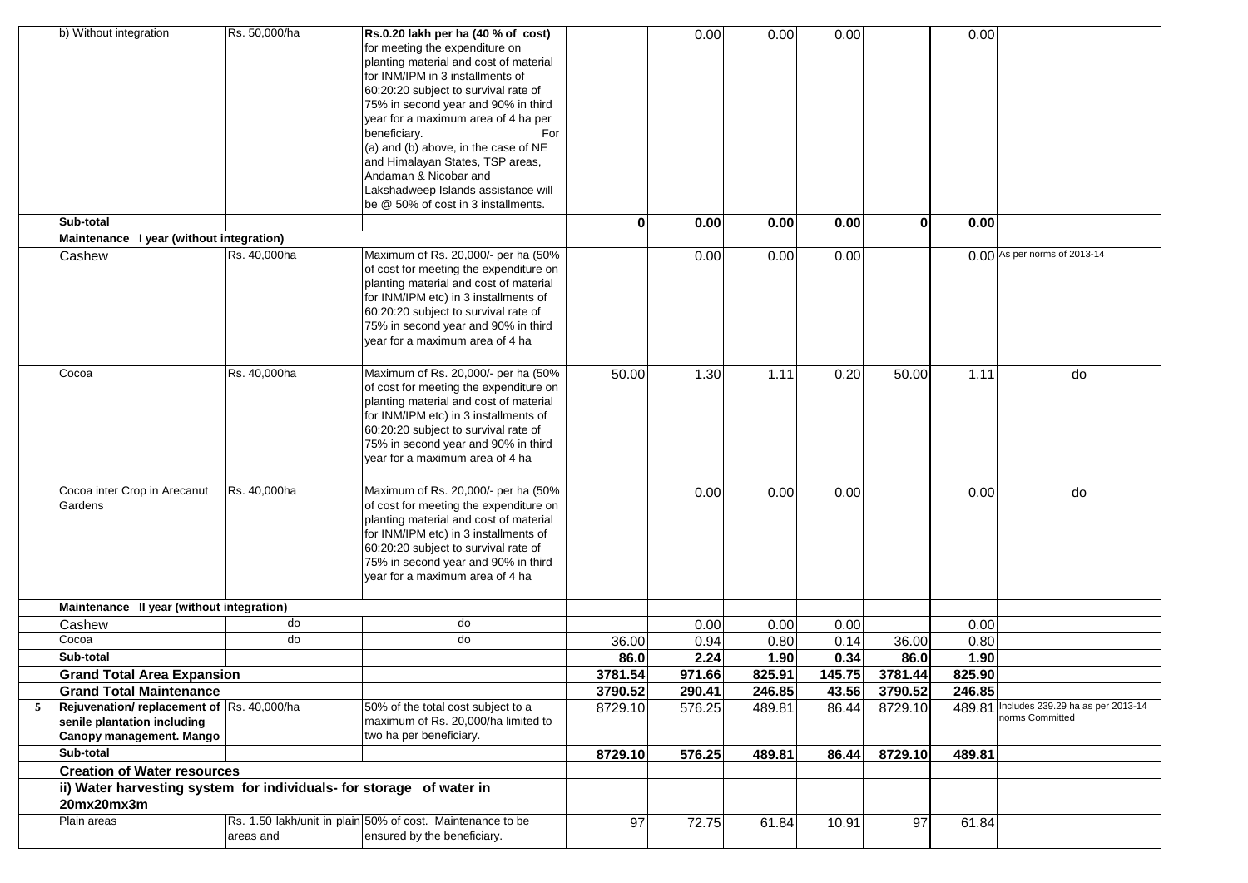| b) Without integration                                               | Rs. 50,000/ha | Rs.0.20 lakh per ha (40 % of cost)                         |         | 0.00   | 0.00   | 0.00   |              | 0.00   |                                                             |
|----------------------------------------------------------------------|---------------|------------------------------------------------------------|---------|--------|--------|--------|--------------|--------|-------------------------------------------------------------|
|                                                                      |               | for meeting the expenditure on                             |         |        |        |        |              |        |                                                             |
|                                                                      |               | planting material and cost of material                     |         |        |        |        |              |        |                                                             |
|                                                                      |               | for INM/IPM in 3 installments of                           |         |        |        |        |              |        |                                                             |
|                                                                      |               | 60:20:20 subject to survival rate of                       |         |        |        |        |              |        |                                                             |
|                                                                      |               | 75% in second year and 90% in third                        |         |        |        |        |              |        |                                                             |
|                                                                      |               | year for a maximum area of 4 ha per                        |         |        |        |        |              |        |                                                             |
|                                                                      |               | beneficiary.<br>For                                        |         |        |        |        |              |        |                                                             |
|                                                                      |               | (a) and (b) above, in the case of NE                       |         |        |        |        |              |        |                                                             |
|                                                                      |               | and Himalayan States, TSP areas,                           |         |        |        |        |              |        |                                                             |
|                                                                      |               | Andaman & Nicobar and                                      |         |        |        |        |              |        |                                                             |
|                                                                      |               | Lakshadweep Islands assistance will                        |         |        |        |        |              |        |                                                             |
|                                                                      |               | be @ 50% of cost in 3 installments.                        |         |        |        |        |              |        |                                                             |
| Sub-total                                                            |               |                                                            | 0       | 0.00   | 0.00   | 0.00   | $\mathbf{0}$ | 0.00   |                                                             |
| Maintenance I year (without integration)                             |               |                                                            |         |        |        |        |              |        |                                                             |
| Cashew                                                               | Rs. 40,000ha  | Maximum of Rs. 20,000/- per ha (50%                        |         | 0.00   | 0.00   | 0.00   |              |        | 0.00 As per norms of 2013-14                                |
|                                                                      |               | of cost for meeting the expenditure on                     |         |        |        |        |              |        |                                                             |
|                                                                      |               | planting material and cost of material                     |         |        |        |        |              |        |                                                             |
|                                                                      |               | for INM/IPM etc) in 3 installments of                      |         |        |        |        |              |        |                                                             |
|                                                                      |               | 60:20:20 subject to survival rate of                       |         |        |        |        |              |        |                                                             |
|                                                                      |               | 75% in second year and 90% in third                        |         |        |        |        |              |        |                                                             |
|                                                                      |               | year for a maximum area of 4 ha                            |         |        |        |        |              |        |                                                             |
|                                                                      |               |                                                            |         |        |        |        |              |        |                                                             |
| Cocoa                                                                | Rs. 40,000ha  | Maximum of Rs. 20,000/- per ha (50%                        | 50.00   | 1.30   | 1.11   | 0.20   | 50.00        | 1.11   | do                                                          |
|                                                                      |               | of cost for meeting the expenditure on                     |         |        |        |        |              |        |                                                             |
|                                                                      |               | planting material and cost of material                     |         |        |        |        |              |        |                                                             |
|                                                                      |               | for INM/IPM etc) in 3 installments of                      |         |        |        |        |              |        |                                                             |
|                                                                      |               | 60:20:20 subject to survival rate of                       |         |        |        |        |              |        |                                                             |
|                                                                      |               | 75% in second year and 90% in third                        |         |        |        |        |              |        |                                                             |
|                                                                      |               | year for a maximum area of 4 ha                            |         |        |        |        |              |        |                                                             |
| Cocoa inter Crop in Arecanut                                         | Rs. 40,000ha  | Maximum of Rs. 20,000/- per ha (50%                        |         | 0.00   | 0.00   | 0.00   |              | 0.00   | do                                                          |
| Gardens                                                              |               | of cost for meeting the expenditure on                     |         |        |        |        |              |        |                                                             |
|                                                                      |               | planting material and cost of material                     |         |        |        |        |              |        |                                                             |
|                                                                      |               | for INM/IPM etc) in 3 installments of                      |         |        |        |        |              |        |                                                             |
|                                                                      |               | 60:20:20 subject to survival rate of                       |         |        |        |        |              |        |                                                             |
|                                                                      |               | 75% in second year and 90% in third                        |         |        |        |        |              |        |                                                             |
|                                                                      |               | year for a maximum area of 4 ha                            |         |        |        |        |              |        |                                                             |
|                                                                      |               |                                                            |         |        |        |        |              |        |                                                             |
| Maintenance II year (without integration)                            |               |                                                            |         |        |        |        |              |        |                                                             |
| Cashew                                                               | do            | do                                                         |         | 0.00   | 0.00   | 0.00   |              | 0.00   |                                                             |
| Cocoa                                                                | do            | do                                                         | 36.00   | 0.94   | 0.80   | 0.14   | 36.00        | 0.80   |                                                             |
| Sub-total                                                            |               |                                                            | 86.0    | 2.24   | 1.90   | 0.34   | 86.0         | 1.90   |                                                             |
| <b>Grand Total Area Expansion</b>                                    |               |                                                            | 3781.54 | 971.66 | 825.91 | 145.75 | 3781.44      | 825.90 |                                                             |
| <b>Grand Total Maintenance</b>                                       |               |                                                            | 3790.52 | 290.41 | 246.85 | 43.56  | 3790.52      | 246.85 |                                                             |
| Rejuvenation/replacement of Rs. 40,000/ha                            |               | 50% of the total cost subject to a                         | 8729.10 | 576.25 | 489.81 | 86.44  | 8729.10      |        | 489.81 Includes 239.29 ha as per 2013-14<br>norms Committed |
| senile plantation including                                          |               | maximum of Rs. 20,000/ha limited to                        |         |        |        |        |              |        |                                                             |
| Canopy management. Mango                                             |               | two ha per beneficiary.                                    |         |        |        |        |              |        |                                                             |
| Sub-total                                                            |               |                                                            | 8729.10 | 576.25 | 489.81 | 86.44  | 8729.10      | 489.81 |                                                             |
| <b>Creation of Water resources</b>                                   |               |                                                            |         |        |        |        |              |        |                                                             |
| ii) Water harvesting system for individuals- for storage of water in |               |                                                            |         |        |        |        |              |        |                                                             |
| 20mx20mx3m                                                           |               |                                                            |         |        |        |        |              |        |                                                             |
| Plain areas                                                          |               | Rs. 1.50 lakh/unit in plain 50% of cost. Maintenance to be | 97      | 72.75  | 61.84  | 10.91  | 97           | 61.84  |                                                             |
|                                                                      | areas and     | ensured by the beneficiary.                                |         |        |        |        |              |        |                                                             |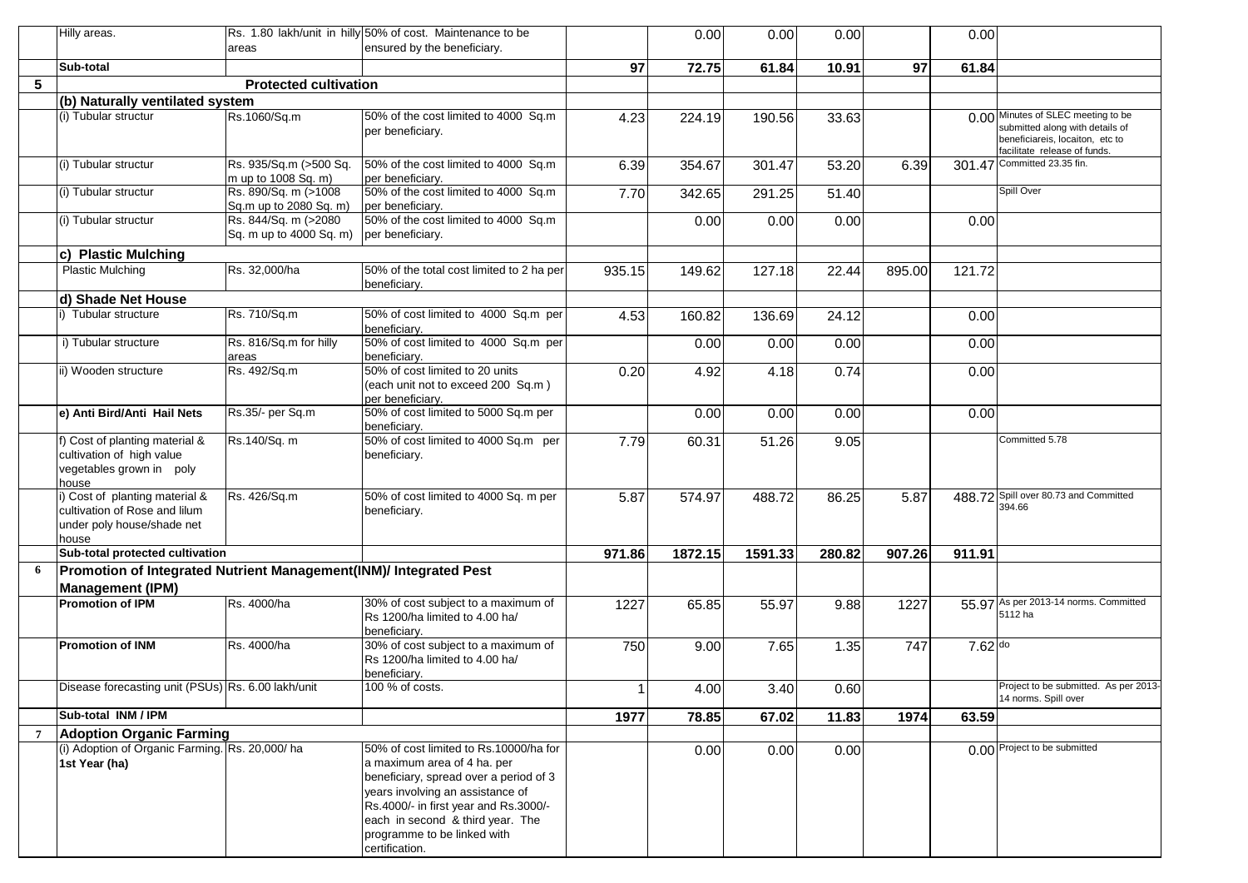|                 | Hilly areas.                                                                                           | areas                                           | Rs. 1.80 lakh/unit in hilly 50% of cost. Maintenance to be<br>ensured by the beneficiary.                                                                                                                                                                                         |              | 0.00    | 0.00    | 0.00   |        | 0.00    |                                                                                                                                          |
|-----------------|--------------------------------------------------------------------------------------------------------|-------------------------------------------------|-----------------------------------------------------------------------------------------------------------------------------------------------------------------------------------------------------------------------------------------------------------------------------------|--------------|---------|---------|--------|--------|---------|------------------------------------------------------------------------------------------------------------------------------------------|
|                 | Sub-total                                                                                              |                                                 |                                                                                                                                                                                                                                                                                   | 97           | 72.75   | 61.84   | 10.91  | 97     | 61.84   |                                                                                                                                          |
| 5               |                                                                                                        | <b>Protected cultivation</b>                    |                                                                                                                                                                                                                                                                                   |              |         |         |        |        |         |                                                                                                                                          |
|                 | (b) Naturally ventilated system                                                                        |                                                 |                                                                                                                                                                                                                                                                                   |              |         |         |        |        |         |                                                                                                                                          |
|                 | (i) Tubular structur                                                                                   | Rs.1060/Sq.m                                    | 50% of the cost limited to 4000 Sq.m<br>per beneficiary.                                                                                                                                                                                                                          | 4.23         | 224.19  | 190.56  | 33.63  |        |         | 0.00 Minutes of SLEC meeting to be<br>submitted along with details of<br>beneficiareis, locaiton, etc to<br>facilitate release of funds. |
|                 | (i) Tubular structur                                                                                   | Rs. 935/Sq.m (>500 Sq.<br>m up to 1008 Sq. m)   | 50% of the cost limited to 4000 Sq.m<br>per beneficiary.                                                                                                                                                                                                                          | 6.39         | 354.67  | 301.47  | 53.20  | 6.39   |         | 301.47 Committed 23.35 fin.                                                                                                              |
|                 | (i) Tubular structur                                                                                   | Rs. 890/Sq. m (>1008<br>Sq.m up to 2080 Sq. m)  | 50% of the cost limited to 4000 Sq.m<br>per beneficiary.                                                                                                                                                                                                                          | 7.70         | 342.65  | 291.25  | 51.40  |        |         | Spill Over                                                                                                                               |
|                 | (i) Tubular structur                                                                                   | Rs. 844/Sq. m (>2080<br>Sq. m up to 4000 Sq. m) | 50% of the cost limited to 4000 Sq.m<br>per beneficiary.                                                                                                                                                                                                                          |              | 0.00    | 0.00    | 0.00   |        | 0.00    |                                                                                                                                          |
|                 | c) Plastic Mulching                                                                                    |                                                 |                                                                                                                                                                                                                                                                                   |              |         |         |        |        |         |                                                                                                                                          |
|                 | <b>Plastic Mulching</b>                                                                                | Rs. 32,000/ha                                   | 50% of the total cost limited to 2 ha per<br>beneficiary.                                                                                                                                                                                                                         | 935.15       | 149.62  | 127.18  | 22.44  | 895.00 | 121.72  |                                                                                                                                          |
|                 | d) Shade Net House                                                                                     |                                                 |                                                                                                                                                                                                                                                                                   |              |         |         |        |        |         |                                                                                                                                          |
|                 | li) Tubular structure                                                                                  | Rs. 710/Sq.m                                    | 50% of cost limited to 4000 Sq.m per<br>beneficiary.                                                                                                                                                                                                                              | 4.53         | 160.82  | 136.69  | 24.12  |        | 0.00    |                                                                                                                                          |
|                 | i) Tubular structure                                                                                   | Rs. 816/Sq.m for hilly<br>areas                 | 50% of cost limited to 4000 Sq.m per<br>beneficiary.                                                                                                                                                                                                                              |              | 0.00    | 0.00    | 0.00   |        | 0.00    |                                                                                                                                          |
|                 | ii) Wooden structure                                                                                   | Rs. 492/Sq.m                                    | 50% of cost limited to 20 units<br>(each unit not to exceed 200 Sq.m)<br>per beneficiary.                                                                                                                                                                                         | 0.20         | 4.92    | 4.18    | 0.74   |        | 0.00    |                                                                                                                                          |
|                 | e) Anti Bird/Anti Hail Nets                                                                            | Rs.35/- per Sq.m                                | 50% of cost limited to 5000 Sq.m per<br>beneficiary.                                                                                                                                                                                                                              |              | 0.00    | 0.00    | 0.00   |        | 0.00    |                                                                                                                                          |
|                 | f) Cost of planting material &<br>cultivation of high value<br>vegetables grown in poly<br>house       | Rs.140/Sq. m                                    | 50% of cost limited to 4000 Sq.m per<br>beneficiary.                                                                                                                                                                                                                              | 7.79         | 60.31   | 51.26   | 9.05   |        |         | Committed 5.78                                                                                                                           |
|                 | i) Cost of planting material &<br>cultivation of Rose and lilum<br>under poly house/shade net<br>house | Rs. 426/Sq.m                                    | 50% of cost limited to 4000 Sq. m per<br>beneficiary.                                                                                                                                                                                                                             | 5.87         | 574.97  | 488.72  | 86.25  | 5.87   |         | 488.72 Spill over 80.73 and Committed<br>394.66                                                                                          |
|                 | Sub-total protected cultivation                                                                        |                                                 |                                                                                                                                                                                                                                                                                   | 971.86       | 1872.15 | 1591.33 | 280.82 | 907.26 | 911.91  |                                                                                                                                          |
| 6               | Promotion of Integrated Nutrient Management(INM)/ Integrated Pest<br><b>Management (IPM)</b>           |                                                 |                                                                                                                                                                                                                                                                                   |              |         |         |        |        |         |                                                                                                                                          |
|                 | <b>Promotion of IPM</b>                                                                                | Rs. 4000/ha                                     | 30% of cost subject to a maximum of<br>Rs 1200/ha limited to 4.00 ha/<br>beneficiary.                                                                                                                                                                                             | 1227         | 65.85   | 55.97   | 9.88   | 1227   |         | 55.97 As per 2013-14 norms. Committed<br>5112 ha                                                                                         |
|                 | <b>Promotion of INM</b>                                                                                | Rs. 4000/ha                                     | 30% of cost subject to a maximum of<br>Rs 1200/ha limited to 4.00 ha/<br>beneficiary.                                                                                                                                                                                             | 750          | 9.00    | 7.65    | 1.35   | 747    | 7.62 do |                                                                                                                                          |
|                 | Disease forecasting unit (PSUs) Rs. 6.00 lakh/unit                                                     |                                                 | 100 % of costs.                                                                                                                                                                                                                                                                   | $\mathbf{1}$ | 4.00    | 3.40    | 0.60   |        |         | Project to be submitted. As per 2013-<br>14 norms. Spill over                                                                            |
|                 | Sub-total INM / IPM                                                                                    |                                                 |                                                                                                                                                                                                                                                                                   | 1977         | 78.85   | 67.02   | 11.83  | 1974   | 63.59   |                                                                                                                                          |
| $7\overline{ }$ | <b>Adoption Organic Farming</b>                                                                        |                                                 |                                                                                                                                                                                                                                                                                   |              |         |         |        |        |         |                                                                                                                                          |
|                 | (i) Adoption of Organic Farming. Rs. 20,000/ha<br>1st Year (ha)                                        |                                                 | 50% of cost limited to Rs.10000/ha for<br>a maximum area of 4 ha. per<br>beneficiary, spread over a period of 3<br>years involving an assistance of<br>Rs.4000/- in first year and Rs.3000/-<br>each in second & third year. The<br>programme to be linked with<br>certification. |              | 0.00    | 0.00    | 0.00   |        |         | 0.00 Project to be submitted                                                                                                             |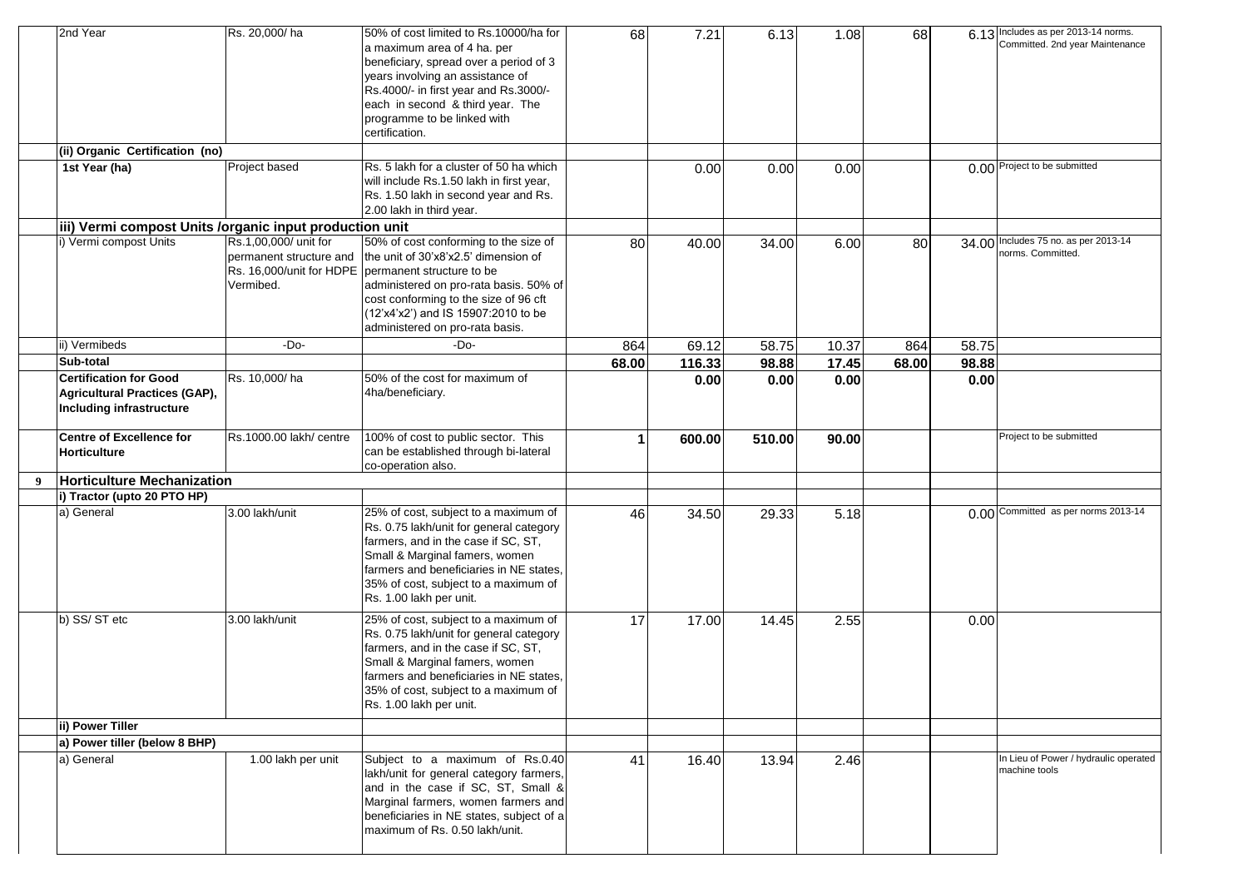|   | 2nd Year                                                                                          | Rs. 20,000/ha                                                                             | 50% of cost limited to Rs.10000/ha for<br>a maximum area of 4 ha. per<br>beneficiary, spread over a period of 3<br>years involving an assistance of<br>Rs.4000/- in first year and Rs.3000/-<br>each in second & third year. The<br>programme to be linked with<br>certification. | 68    | 7.21   | 6.13   | 1.08               | 68    |       | 6.13 Includes as per 2013-14 norms.<br>Committed. 2nd year Maintenance |
|---|---------------------------------------------------------------------------------------------------|-------------------------------------------------------------------------------------------|-----------------------------------------------------------------------------------------------------------------------------------------------------------------------------------------------------------------------------------------------------------------------------------|-------|--------|--------|--------------------|-------|-------|------------------------------------------------------------------------|
|   | (ii) Organic Certification (no)                                                                   |                                                                                           |                                                                                                                                                                                                                                                                                   |       |        |        |                    |       |       |                                                                        |
|   | 1st Year (ha)                                                                                     | Project based                                                                             | Rs. 5 lakh for a cluster of 50 ha which<br>will include Rs.1.50 lakh in first year,<br>Rs. 1.50 lakh in second year and Rs.<br>2.00 lakh in third year.                                                                                                                           |       | 0.00   | 0.00   | 0.00               |       |       | 0.00 Project to be submitted                                           |
|   | iii) Vermi compost Units /organic input production unit                                           |                                                                                           |                                                                                                                                                                                                                                                                                   |       |        |        |                    |       |       |                                                                        |
|   | i) Vermi compost Units                                                                            | Rs.1,00,000/ unit for<br>permanent structure and<br>Rs. 16,000/unit for HDPE<br>Vermibed. | 50% of cost conforming to the size of<br>the unit of 30'x8'x2.5' dimension of<br>permanent structure to be<br>administered on pro-rata basis. 50% of<br>cost conforming to the size of 96 cft<br>(12'x4'x2') and IS 15907:2010 to be<br>administered on pro-rata basis.           | 80    | 40.00  | 34.00  | 6.00               | 80    |       | 34.00 Includes 75 no. as per 2013-14<br>norms. Committed.              |
|   | ii) Vermibeds                                                                                     | $-Do-$                                                                                    | -Do-                                                                                                                                                                                                                                                                              | 864   | 69.12  | 58.75  | 10.37              | 864   | 58.75 |                                                                        |
|   | Sub-total                                                                                         |                                                                                           |                                                                                                                                                                                                                                                                                   | 68.00 | 116.33 | 98.88  | $\overline{17.45}$ | 68.00 | 98.88 |                                                                        |
|   | <b>Certification for Good</b><br>Agricultural Practices (GAP),<br><b>Including infrastructure</b> | Rs. 10,000/ha                                                                             | 50% of the cost for maximum of<br>4ha/beneficiary.                                                                                                                                                                                                                                |       | 0.00   | 0.00   | 0.00               |       | 0.00  |                                                                        |
|   | <b>Centre of Excellence for</b><br>Horticulture                                                   | Rs.1000.00 lakh/ centre                                                                   | 100% of cost to public sector. This<br>can be established through bi-lateral<br>co-operation also.                                                                                                                                                                                | 1     | 600.00 | 510.00 | 90.00              |       |       | Project to be submitted                                                |
| 9 | <b>Horticulture Mechanization</b>                                                                 |                                                                                           |                                                                                                                                                                                                                                                                                   |       |        |        |                    |       |       |                                                                        |
|   | i) Tractor (upto 20 PTO HP)                                                                       |                                                                                           |                                                                                                                                                                                                                                                                                   |       |        |        |                    |       |       |                                                                        |
|   | a) General                                                                                        | 3.00 lakh/unit                                                                            | 25% of cost, subject to a maximum of<br>Rs. 0.75 lakh/unit for general category<br>farmers, and in the case if SC, ST,<br>Small & Marginal famers, women<br>farmers and beneficiaries in NE states,<br>35% of cost, subject to a maximum of<br>Rs. 1.00 lakh per unit.            | 46    | 34.50  | 29.33  | 5.18               |       |       | 0.00 Committed as per norms 2013-14                                    |
|   | b) SS/ST etc                                                                                      | 3.00 lakh/unit                                                                            | 25% of cost, subject to a maximum of<br>Rs. 0.75 lakh/unit for general category<br>farmers, and in the case if SC, ST,<br>Small & Marginal famers, women<br>farmers and beneficiaries in NE states,<br>35% of cost, subject to a maximum of<br>Rs. 1.00 lakh per unit.            | 17    | 17.00  | 14.45  | 2.55               |       | 0.00  |                                                                        |
|   | ii) Power Tiller                                                                                  |                                                                                           |                                                                                                                                                                                                                                                                                   |       |        |        |                    |       |       |                                                                        |
|   | a) Power tiller (below 8 BHP)                                                                     |                                                                                           |                                                                                                                                                                                                                                                                                   |       |        |        |                    |       |       |                                                                        |
|   | a) General                                                                                        | 1.00 lakh per unit                                                                        | Subject to a maximum of Rs.0.40<br>lakh/unit for general category farmers,<br>and in the case if SC, ST, Small &<br>Marginal farmers, women farmers and<br>beneficiaries in NE states, subject of a<br>maximum of Rs. 0.50 lakh/unit.                                             | 41    | 16.40  | 13.94  | 2.46               |       |       | In Lieu of Power / hydraulic operated<br>machine tools                 |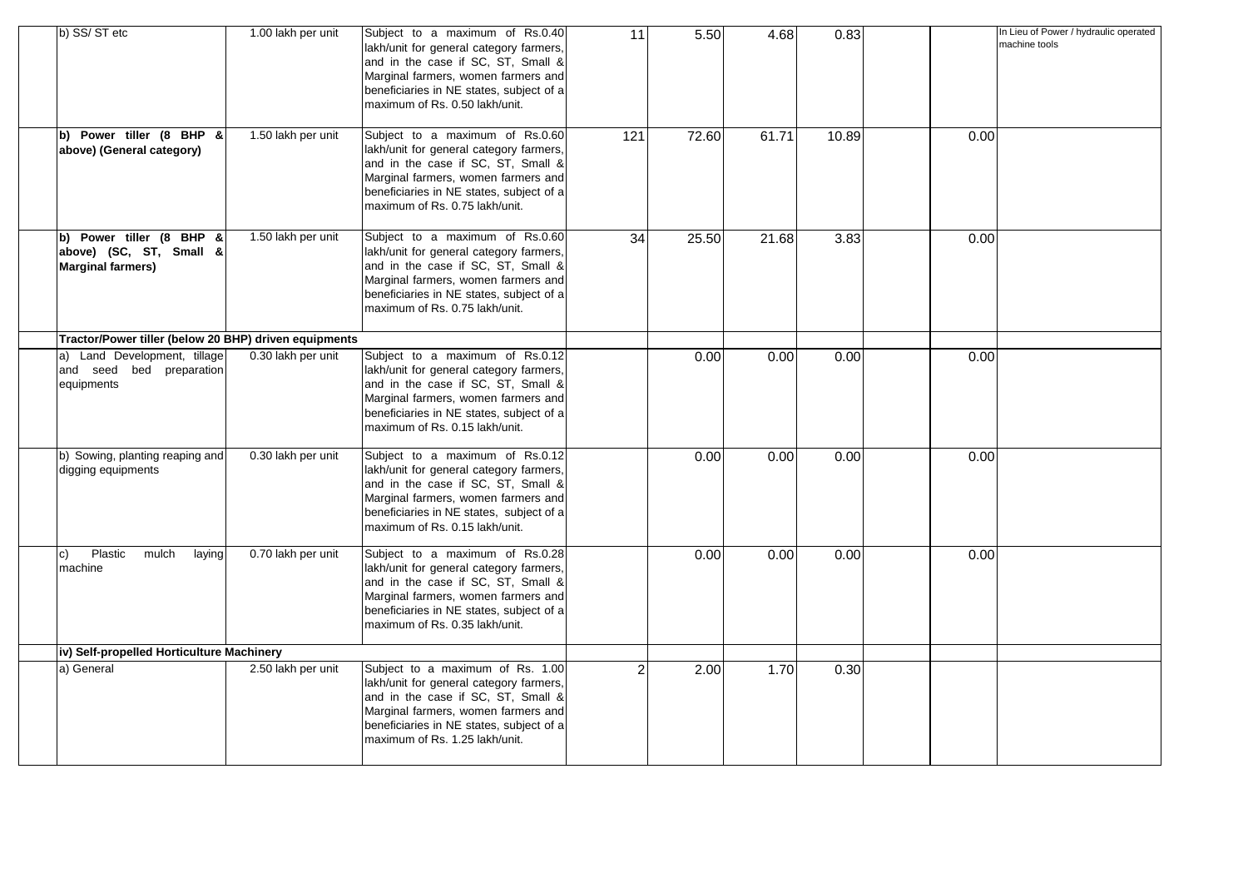| b) SS/ST etc                                                                    | 1.00 lakh per unit | Subject to a maximum of Rs.0.40<br>lakh/unit for general category farmers,<br>and in the case if SC, ST, Small &<br>Marginal farmers, women farmers and<br>beneficiaries in NE states, subject of a<br>maximum of Rs. 0.50 lakh/unit.  | 11              | 5.50  | 4.68  | 0.83  |      | In Lieu of Power / hydraulic operated<br>machine tools |
|---------------------------------------------------------------------------------|--------------------|----------------------------------------------------------------------------------------------------------------------------------------------------------------------------------------------------------------------------------------|-----------------|-------|-------|-------|------|--------------------------------------------------------|
| b) Power tiller (8 BHP &<br>above) (General category)                           | 1.50 lakh per unit | Subject to a maximum of Rs.0.60<br>lakh/unit for general category farmers,<br>and in the case if SC, ST, Small &<br>Marginal farmers, women farmers and<br>beneficiaries in NE states, subject of a<br>maximum of Rs. 0.75 lakh/unit.  | 121             | 72.60 | 61.71 | 10.89 | 0.00 |                                                        |
| b) Power tiller (8 BHP &<br>above) (SC, ST, Small &<br><b>Marginal farmers)</b> | 1.50 lakh per unit | Subject to a maximum of Rs.0.60<br>lakh/unit for general category farmers,<br>and in the case if SC, ST, Small &<br>Marginal farmers, women farmers and<br>beneficiaries in NE states, subject of a<br>maximum of Rs. 0.75 lakh/unit.  | $\overline{34}$ | 25.50 | 21.68 | 3.83  | 0.00 |                                                        |
| Tractor/Power tiller (below 20 BHP) driven equipments                           |                    |                                                                                                                                                                                                                                        |                 |       |       |       |      |                                                        |
| a) Land Development, tillage<br>and seed bed preparation<br>equipments          | 0.30 lakh per unit | Subject to a maximum of Rs.0.12<br>lakh/unit for general category farmers,<br>and in the case if SC, ST, Small &<br>Marginal farmers, women farmers and<br>beneficiaries in NE states, subject of a<br>maximum of Rs. 0.15 lakh/unit.  |                 | 0.00  | 0.00  | 0.00  | 0.00 |                                                        |
| b) Sowing, planting reaping and<br>digging equipments                           | 0.30 lakh per unit | Subject to a maximum of Rs.0.12<br>lakh/unit for general category farmers,<br>and in the case if SC, ST, Small &<br>Marginal farmers, women farmers and<br>beneficiaries in NE states, subject of a<br>maximum of Rs. 0.15 lakh/unit.  |                 | 0.00  | 0.00  | 0.00  | 0.00 |                                                        |
| Plastic<br>mulch<br>laying<br>c)<br>machine                                     | 0.70 lakh per unit | Subject to a maximum of Rs.0.28<br>lakh/unit for general category farmers,<br>and in the case if SC, ST, Small &<br>Marginal farmers, women farmers and<br>beneficiaries in NE states, subject of a<br>maximum of Rs. 0.35 lakh/unit.  |                 | 0.00  | 0.00  | 0.00  | 0.00 |                                                        |
| iv) Self-propelled Horticulture Machinery                                       |                    |                                                                                                                                                                                                                                        |                 |       |       |       |      |                                                        |
| a) General                                                                      | 2.50 lakh per unit | Subject to a maximum of Rs. 1.00<br>lakh/unit for general category farmers,<br>and in the case if SC, ST, Small &<br>Marginal farmers, women farmers and<br>beneficiaries in NE states, subject of a<br>maximum of Rs. 1.25 lakh/unit. | $\overline{2}$  | 2.00  | 1.70  | 0.30  |      |                                                        |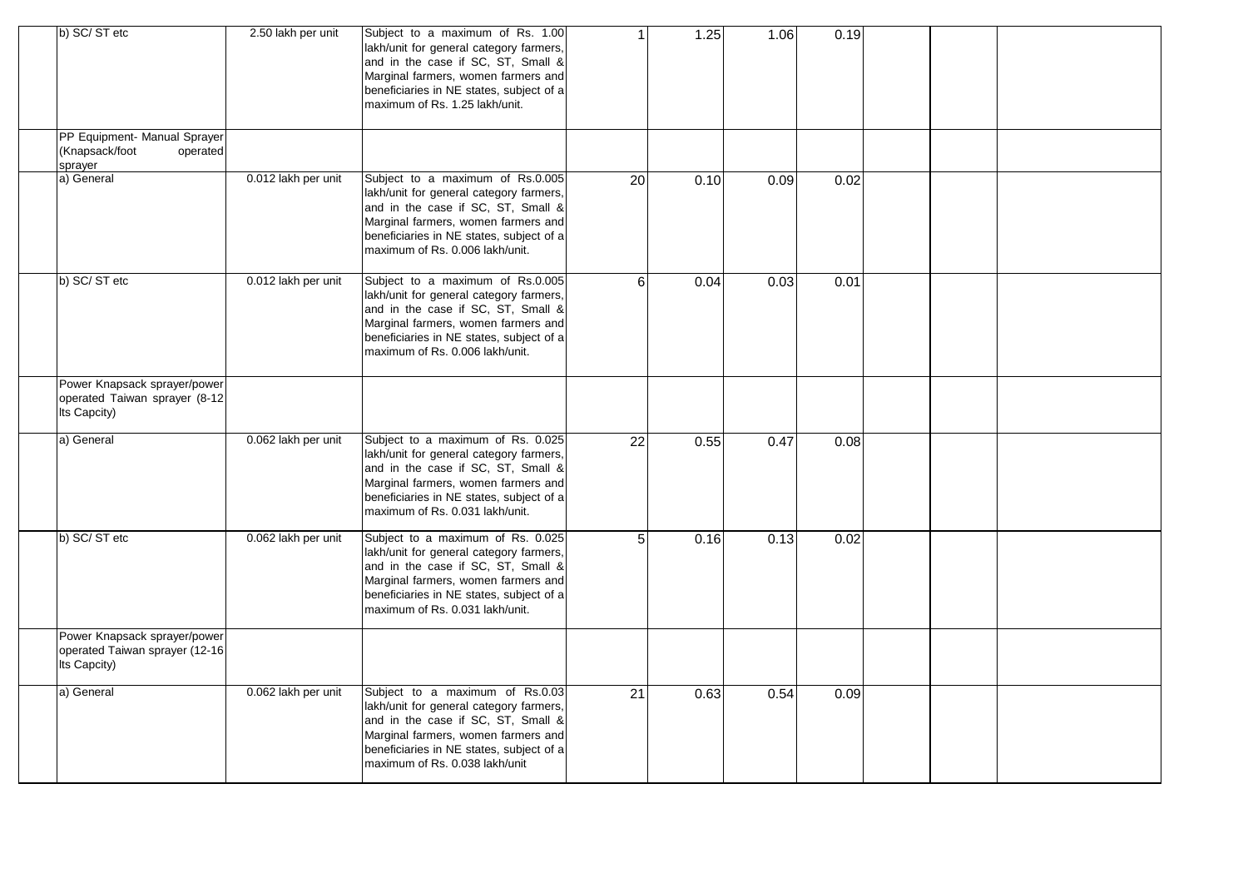| b) SC/ST etc                                                                   | 2.50 lakh per unit  | Subject to a maximum of Rs. 1.00<br>lakh/unit for general category farmers,<br>and in the case if SC, ST, Small &<br>Marginal farmers, women farmers and<br>beneficiaries in NE states, subject of a<br>maximum of Rs. 1.25 lakh/unit.   | 1               | 1.25 | 1.06 | 0.19 |  |  |
|--------------------------------------------------------------------------------|---------------------|------------------------------------------------------------------------------------------------------------------------------------------------------------------------------------------------------------------------------------------|-----------------|------|------|------|--|--|
| PP Equipment- Manual Sprayer<br>(Knapsack/foot<br>operated<br>sprayer          |                     |                                                                                                                                                                                                                                          |                 |      |      |      |  |  |
| a) General                                                                     | 0.012 lakh per unit | Subject to a maximum of Rs.0.005<br>lakh/unit for general category farmers,<br>and in the case if SC, ST, Small &<br>Marginal farmers, women farmers and<br>beneficiaries in NE states, subject of a<br>maximum of Rs. 0.006 lakh/unit.  | 20              | 0.10 | 0.09 | 0.02 |  |  |
| b) SC/ST etc                                                                   | 0.012 lakh per unit | Subject to a maximum of Rs.0.005<br>lakh/unit for general category farmers,<br>and in the case if SC, ST, Small &<br>Marginal farmers, women farmers and<br>beneficiaries in NE states, subject of a<br>maximum of Rs. 0.006 lakh/unit.  | 6               | 0.04 | 0.03 | 0.01 |  |  |
| Power Knapsack sprayer/power<br>operated Taiwan sprayer (8-12<br>Its Capcity)  |                     |                                                                                                                                                                                                                                          |                 |      |      |      |  |  |
| a) General                                                                     | 0.062 lakh per unit | Subject to a maximum of Rs. 0.025<br>lakh/unit for general category farmers,<br>and in the case if SC, ST, Small &<br>Marginal farmers, women farmers and<br>beneficiaries in NE states, subject of a<br>maximum of Rs. 0.031 lakh/unit. | $\overline{22}$ | 0.55 | 0.47 | 0.08 |  |  |
| b) SC/ST etc                                                                   | 0.062 lakh per unit | Subject to a maximum of Rs. 0.025<br>lakh/unit for general category farmers,<br>and in the case if SC, ST, Small &<br>Marginal farmers, women farmers and<br>beneficiaries in NE states, subject of a<br>maximum of Rs. 0.031 lakh/unit. | 5               | 0.16 | 0.13 | 0.02 |  |  |
| Power Knapsack sprayer/power<br>operated Taiwan sprayer (12-16<br>Its Capcity) |                     |                                                                                                                                                                                                                                          |                 |      |      |      |  |  |
| a) General                                                                     | 0.062 lakh per unit | Subject to a maximum of Rs.0.03<br>lakh/unit for general category farmers,<br>and in the case if SC, ST, Small &<br>Marginal farmers, women farmers and<br>beneficiaries in NE states, subject of a<br>maximum of Rs. 0.038 lakh/unit    | 21              | 0.63 | 0.54 | 0.09 |  |  |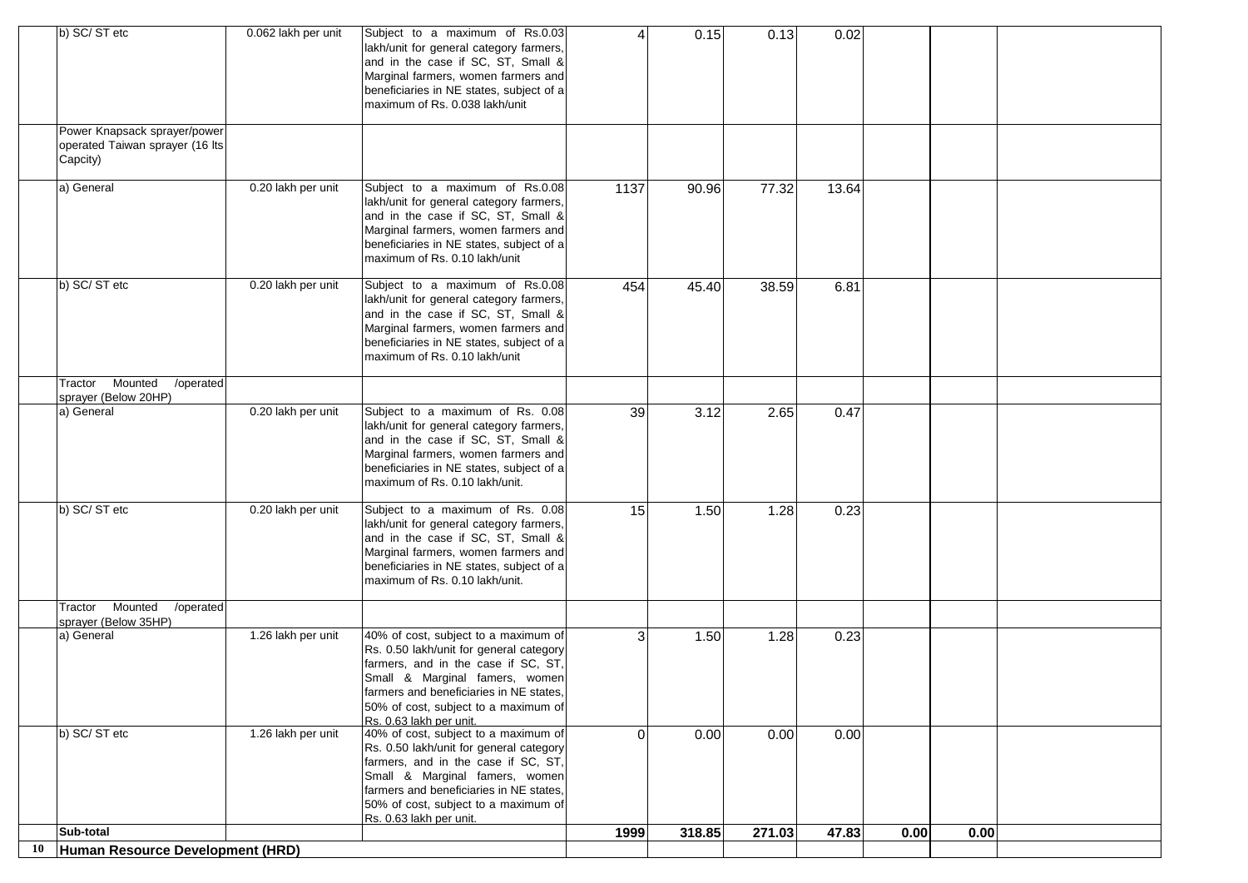|    | b) SC/ST etc<br>Power Knapsack sprayer/power                                     | 0.062 lakh per unit | Subject to a maximum of Rs.0.03<br>lakh/unit for general category farmers,<br>and in the case if SC, ST, Small &<br>Marginal farmers, women farmers and<br>beneficiaries in NE states, subject of a<br>maximum of Rs. 0.038 lakh/unit                                  | $\Delta$ | 0.15   | 0.13   | 0.02  |      |      |  |
|----|----------------------------------------------------------------------------------|---------------------|------------------------------------------------------------------------------------------------------------------------------------------------------------------------------------------------------------------------------------------------------------------------|----------|--------|--------|-------|------|------|--|
|    | operated Taiwan sprayer (16 lts<br>Capcity)                                      |                     |                                                                                                                                                                                                                                                                        |          |        |        |       |      |      |  |
|    | a) General                                                                       | 0.20 lakh per unit  | Subject to a maximum of Rs.0.08<br>lakh/unit for general category farmers,<br>and in the case if SC, ST, Small &<br>Marginal farmers, women farmers and<br>beneficiaries in NE states, subject of a<br>maximum of Rs. 0.10 lakh/unit                                   | 1137     | 90.96  | 77.32  | 13.64 |      |      |  |
|    | b) SC/ST etc                                                                     | 0.20 lakh per unit  | Subject to a maximum of Rs.0.08<br>lakh/unit for general category farmers,<br>and in the case if SC, ST, Small &<br>Marginal farmers, women farmers and<br>beneficiaries in NE states, subject of a<br>maximum of Rs. 0.10 lakh/unit                                   | 454      | 45.40  | 38.59  | 6.81  |      |      |  |
|    | Mounted<br>$\overline{\phantom{a}}$ /operated<br>Tractor<br>sprayer (Below 20HP) |                     |                                                                                                                                                                                                                                                                        |          |        |        |       |      |      |  |
|    | a) General                                                                       | 0.20 lakh per unit  | Subject to a maximum of Rs. 0.08<br>lakh/unit for general category farmers,<br>and in the case if SC, ST, Small &<br>Marginal farmers, women farmers and<br>beneficiaries in NE states, subject of a<br>maximum of Rs. 0.10 lakh/unit.                                 | 39       | 3.12   | 2.65   | 0.47  |      |      |  |
|    | b) SC/ST etc                                                                     | 0.20 lakh per unit  | Subject to a maximum of Rs. 0.08<br>lakh/unit for general category farmers,<br>and in the case if SC, ST, Small &<br>Marginal farmers, women farmers and<br>beneficiaries in NE states, subject of a<br>maximum of Rs. 0.10 lakh/unit.                                 | 15       | 1.50   | 1.28   | 0.23  |      |      |  |
|    | Tractor Mounted<br>/operated<br>sprayer (Below 35HP)                             |                     |                                                                                                                                                                                                                                                                        |          |        |        |       |      |      |  |
|    | a) General                                                                       | 1.26 lakh per unit  | 40% of cost, subject to a maximum of<br>Rs. 0.50 lakh/unit for general category<br>farmers, and in the case if SC, ST,<br>Small & Marginal famers, women<br>farmers and beneficiaries in NE states,<br>50% of cost, subject to a maximum of<br>Rs. 0.63 lakh per unit. | 3        | 1.50   | 1.28   | 0.23  |      |      |  |
|    | b) SC/ST etc                                                                     | 1.26 lakh per unit  | 40% of cost, subject to a maximum of<br>Rs. 0.50 lakh/unit for general category<br>farmers, and in the case if SC, ST,<br>Small & Marginal famers, women<br>farmers and beneficiaries in NE states,<br>50% of cost, subject to a maximum of<br>Rs. 0.63 lakh per unit. | $\Omega$ | 0.00   | 0.00   | 0.00  |      |      |  |
|    | Sub-total                                                                        |                     |                                                                                                                                                                                                                                                                        | 1999     | 318.85 | 271.03 | 47.83 | 0.00 | 0.00 |  |
| 10 | Human Resource Development (HRD)                                                 |                     |                                                                                                                                                                                                                                                                        |          |        |        |       |      |      |  |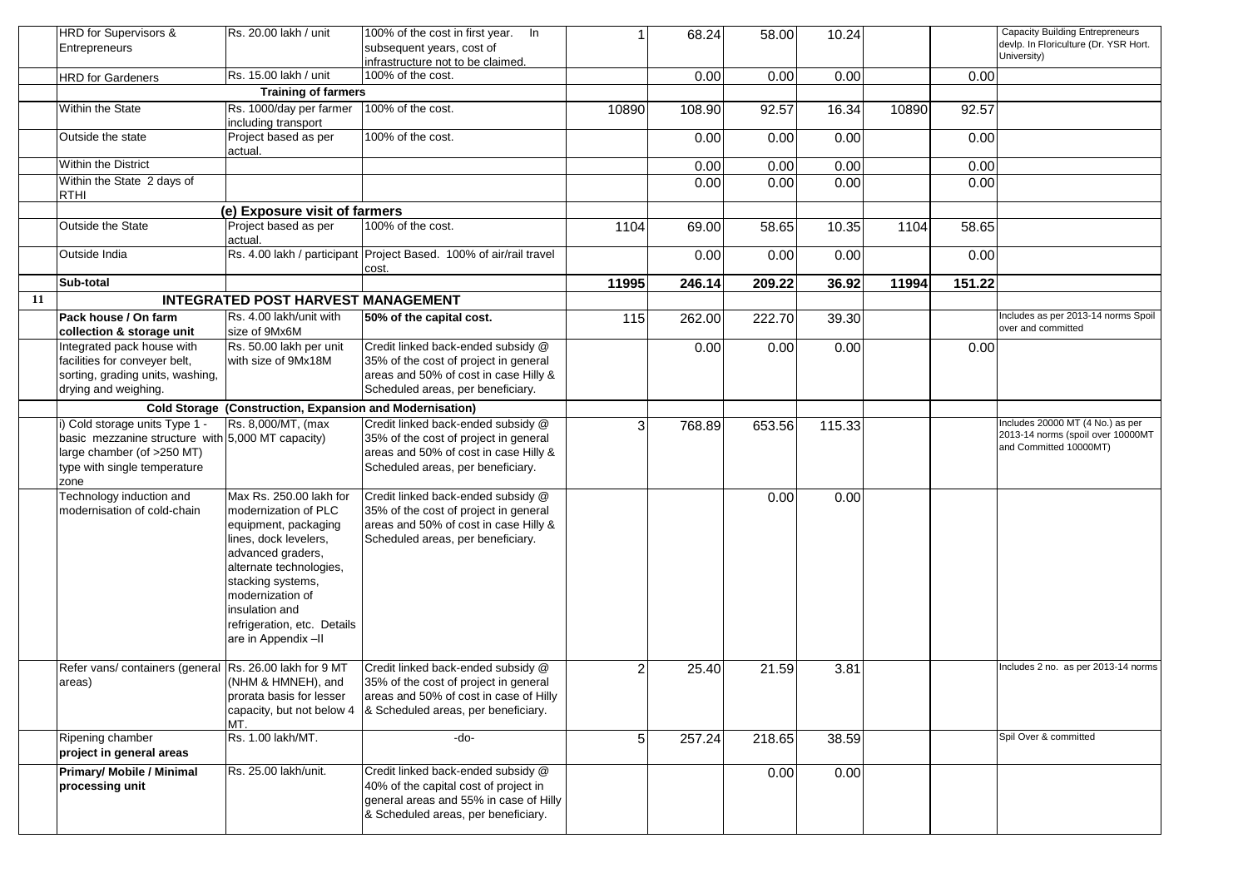|    | HRD for Supervisors &<br>Entrepreneurs                                                                                                                    | Rs. 20.00 lakh / unit                                                                                                                                                                                                                                            | 100% of the cost in first year. In<br>subsequent years, cost of<br>infrastructure not to be claimed.                                                         |                | 68.24  | 58.00  | 10.24  |       |        | <b>Capacity Building Entrepreneurs</b><br>devlp. In Floriculture (Dr. YSR Hort.<br>University)  |
|----|-----------------------------------------------------------------------------------------------------------------------------------------------------------|------------------------------------------------------------------------------------------------------------------------------------------------------------------------------------------------------------------------------------------------------------------|--------------------------------------------------------------------------------------------------------------------------------------------------------------|----------------|--------|--------|--------|-------|--------|-------------------------------------------------------------------------------------------------|
|    | <b>HRD</b> for Gardeners                                                                                                                                  | Rs. 15.00 lakh / unit                                                                                                                                                                                                                                            | 100% of the cost.                                                                                                                                            |                | 0.00   | 0.00   | 0.00   |       | 0.00   |                                                                                                 |
|    |                                                                                                                                                           | <b>Training of farmers</b>                                                                                                                                                                                                                                       |                                                                                                                                                              |                |        |        |        |       |        |                                                                                                 |
|    | Within the State                                                                                                                                          | Rs. 1000/day per farmer<br>including transport                                                                                                                                                                                                                   | 100% of the cost.                                                                                                                                            | 10890          | 108.90 | 92.57  | 16.34  | 10890 | 92.57  |                                                                                                 |
|    | Outside the state                                                                                                                                         | Project based as per<br>actual.                                                                                                                                                                                                                                  | 100% of the cost.                                                                                                                                            |                | 0.00   | 0.00   | 0.00   |       | 0.00   |                                                                                                 |
|    | Within the District                                                                                                                                       |                                                                                                                                                                                                                                                                  |                                                                                                                                                              |                | 0.00   | 0.00   | 0.00   |       | 0.00   |                                                                                                 |
|    | Within the State 2 days of<br><b>RTHI</b>                                                                                                                 |                                                                                                                                                                                                                                                                  |                                                                                                                                                              |                | 0.00   | 0.00   | 0.00   |       | 0.00   |                                                                                                 |
|    |                                                                                                                                                           | (e) Exposure visit of farmers                                                                                                                                                                                                                                    |                                                                                                                                                              |                |        |        |        |       |        |                                                                                                 |
|    | Outside the State                                                                                                                                         | Project based as per<br>actual.                                                                                                                                                                                                                                  | 100% of the cost.                                                                                                                                            | 1104           | 69.00  | 58.65  | 10.35  | 1104  | 58.65  |                                                                                                 |
|    | Outside India                                                                                                                                             |                                                                                                                                                                                                                                                                  | Rs. 4.00 lakh / participant Project Based. 100% of air/rail travel<br>cost.                                                                                  |                | 0.00   | 0.00   | 0.00   |       | 0.00   |                                                                                                 |
|    | Sub-total                                                                                                                                                 |                                                                                                                                                                                                                                                                  |                                                                                                                                                              | 11995          | 246.14 | 209.22 | 36.92  | 11994 | 151.22 |                                                                                                 |
| 11 |                                                                                                                                                           | <b>INTEGRATED POST HARVEST MANAGEMENT</b>                                                                                                                                                                                                                        |                                                                                                                                                              |                |        |        |        |       |        |                                                                                                 |
|    | Pack house / On farm<br>collection & storage unit                                                                                                         | Rs. 4.00 lakh/unit with<br>size of 9Mx6M                                                                                                                                                                                                                         | 50% of the capital cost.                                                                                                                                     | 115            | 262.00 | 222.70 | 39.30  |       |        | Includes as per 2013-14 norms Spoil<br>over and committed                                       |
|    | Integrated pack house with<br>facilities for conveyer belt,<br>sorting, grading units, washing,<br>drying and weighing.                                   | Rs. 50.00 lakh per unit<br>with size of 9Mx18M                                                                                                                                                                                                                   | Credit linked back-ended subsidy @<br>35% of the cost of project in general<br>areas and 50% of cost in case Hilly &<br>Scheduled areas, per beneficiary.    |                | 0.00   | 0.00   | 0.00   |       | 0.00   |                                                                                                 |
|    |                                                                                                                                                           | <b>Cold Storage (Construction, Expansion and Modernisation)</b>                                                                                                                                                                                                  |                                                                                                                                                              |                |        |        |        |       |        |                                                                                                 |
|    | i) Cold storage units Type 1 -<br>basic mezzanine structure with 5,000 MT capacity)<br>large chamber (of >250 MT)<br>type with single temperature<br>zone | Rs. 8,000/MT, (max                                                                                                                                                                                                                                               | Credit linked back-ended subsidy @<br>35% of the cost of project in general<br>areas and 50% of cost in case Hilly &<br>Scheduled areas, per beneficiary.    | 3              | 768.89 | 653.56 | 115.33 |       |        | Includes 20000 MT (4 No.) as per<br>2013-14 norms (spoil over 10000MT<br>and Committed 10000MT) |
|    | Technology induction and<br>modernisation of cold-chain                                                                                                   | Max Rs. 250.00 lakh for<br>modernization of PLC<br>equipment, packaging<br>lines, dock levelers,<br>advanced graders,<br>alternate technologies,<br>stacking systems,<br>modernization of<br>insulation and<br>refrigeration, etc. Details<br>are in Appendix-II | Credit linked back-ended subsidy @<br>35% of the cost of project in general<br>areas and 50% of cost in case Hilly &<br>Scheduled areas, per beneficiary.    |                |        | 0.00   | 0.00   |       |        |                                                                                                 |
|    | Refer vans/ containers (general Rs. 26.00 lakh for 9 MT<br>areas)                                                                                         | (NHM & HMNEH), and<br>prorata basis for lesser<br>capacity, but not below 4<br>MT.                                                                                                                                                                               | Credit linked back-ended subsidy @<br>35% of the cost of project in general<br>areas and 50% of cost in case of Hilly<br>& Scheduled areas, per beneficiary. | $\overline{c}$ | 25.40  | 21.59  | 3.81   |       |        | Includes 2 no. as per 2013-14 norms                                                             |
|    | Ripening chamber<br>project in general areas                                                                                                              | Rs. 1.00 lakh/MT.                                                                                                                                                                                                                                                | -do-                                                                                                                                                         | 5              | 257.24 | 218.65 | 38.59  |       |        | Spil Over & committed                                                                           |
|    | <b>Primary/ Mobile / Minimal</b><br>processing unit                                                                                                       | Rs. 25.00 lakh/unit.                                                                                                                                                                                                                                             | Credit linked back-ended subsidy @<br>40% of the capital cost of project in<br>general areas and 55% in case of Hilly<br>& Scheduled areas, per beneficiary. |                |        | 0.00   | 0.00   |       |        |                                                                                                 |